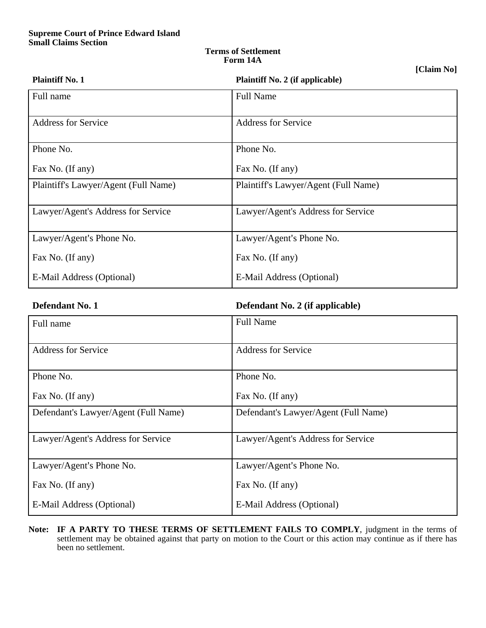### **Terms of Settlement Form 14A**

### **[Claim No]**

| <b>Plaintiff No. 1</b>               | <b>Plaintiff No. 2 (if applicable)</b> |
|--------------------------------------|----------------------------------------|
| Full name                            | <b>Full Name</b>                       |
|                                      |                                        |
| <b>Address for Service</b>           | <b>Address for Service</b>             |
| Phone No.                            | Phone No.                              |
|                                      |                                        |
| Fax No. (If any)                     | Fax No. (If any)                       |
| Plaintiff's Lawyer/Agent (Full Name) | Plaintiff's Lawyer/Agent (Full Name)   |
|                                      |                                        |
| Lawyer/Agent's Address for Service   | Lawyer/Agent's Address for Service     |
|                                      |                                        |
| Lawyer/Agent's Phone No.             | Lawyer/Agent's Phone No.               |
| Fax No. (If any)                     | Fax No. (If any)                       |
| E-Mail Address (Optional)            | E-Mail Address (Optional)              |

**Defendant No. 1 Defendant No. 2 (if applicable)**

| Full name                            | <b>Full Name</b>                     |
|--------------------------------------|--------------------------------------|
| <b>Address for Service</b>           | <b>Address for Service</b>           |
| Phone No.                            | Phone No.                            |
| Fax No. (If any)                     | Fax No. (If any)                     |
| Defendant's Lawyer/Agent (Full Name) | Defendant's Lawyer/Agent (Full Name) |
| Lawyer/Agent's Address for Service   | Lawyer/Agent's Address for Service   |
| Lawyer/Agent's Phone No.             | Lawyer/Agent's Phone No.             |
| Fax No. (If any)                     | Fax No. (If any)                     |
| E-Mail Address (Optional)            | E-Mail Address (Optional)            |

**Note: IF A PARTY TO THESE TERMS OF SETTLEMENT FAILS TO COMPLY**, judgment in the terms of settlement may be obtained against that party on motion to the Court or this action may continue as if there has been no settlement.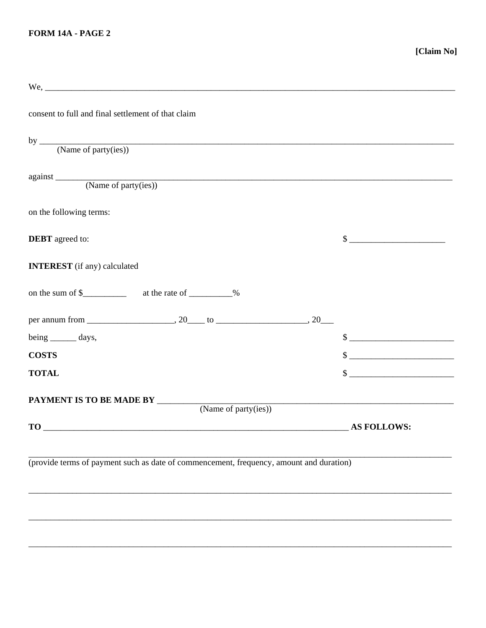# FORM 14A - PAGE 2

| consent to full and final settlement of that claim                                      |               |
|-----------------------------------------------------------------------------------------|---------------|
| by $\frac{1}{\text{Name of party(ies))}}$                                               |               |
|                                                                                         |               |
| against (Name of party(ies))                                                            |               |
|                                                                                         |               |
| on the following terms:                                                                 |               |
| <b>DEBT</b> agreed to:                                                                  | $\frac{1}{2}$ |
| <b>INTEREST</b> (if any) calculated                                                     |               |
|                                                                                         |               |
|                                                                                         |               |
| being _______ days,                                                                     | $\sim$        |
| <b>COSTS</b>                                                                            | $\sim$        |
| <b>TOTAL</b>                                                                            | $\frac{1}{2}$ |
| PAYMENT IS TO BE MADE BY _________                                                      |               |
| (Name of party(ies))                                                                    |               |
| $\overline{10}$                                                                         | AS FOLLOWS:   |
|                                                                                         |               |
| (provide terms of payment such as date of commencement, frequency, amount and duration) |               |
|                                                                                         |               |
|                                                                                         |               |
|                                                                                         |               |

[Claim No]